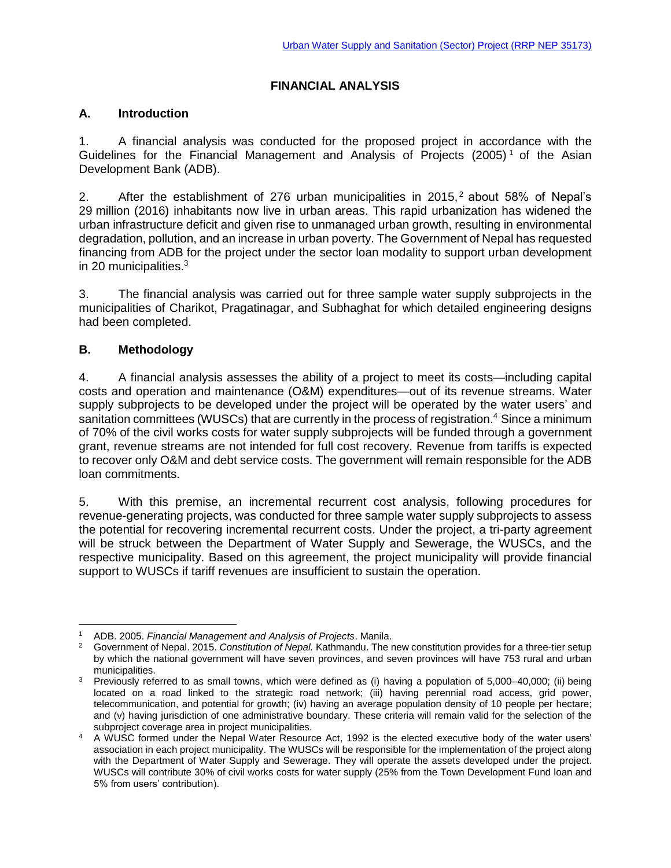# **FINANCIAL ANALYSIS**

#### **A. Introduction**

1. A financial analysis was conducted for the proposed project in accordance with the Guidelines for the Financial Management and Analysis of Projects  $(2005)^{1}$  of the Asian Development Bank (ADB).

2. After the establishment of 276 urban municipalities in 2015,<sup>2</sup> about 58% of Nepal's 29 million (2016) inhabitants now live in urban areas. This rapid urbanization has widened the urban infrastructure deficit and given rise to unmanaged urban growth, resulting in environmental degradation, pollution, and an increase in urban poverty. The Government of Nepal has requested financing from ADB for the project under the sector loan modality to support urban development in 20 municipalities. 3

3. The financial analysis was carried out for three sample water supply subprojects in the municipalities of Charikot, Pragatinagar, and Subhaghat for which detailed engineering designs had been completed.

### **B. Methodology**

4. A financial analysis assesses the ability of a project to meet its costs—including capital costs and operation and maintenance (O&M) expenditures—out of its revenue streams. Water supply subprojects to be developed under the project will be operated by the water users' and sanitation committees (WUSCs) that are currently in the process of registration.<sup>4</sup> Since a minimum of 70% of the civil works costs for water supply subprojects will be funded through a government grant, revenue streams are not intended for full cost recovery. Revenue from tariffs is expected to recover only O&M and debt service costs. The government will remain responsible for the ADB loan commitments.

5. With this premise, an incremental recurrent cost analysis, following procedures for revenue-generating projects, was conducted for three sample water supply subprojects to assess the potential for recovering incremental recurrent costs. Under the project, a tri-party agreement will be struck between the Department of Water Supply and Sewerage, the WUSCs, and the respective municipality. Based on this agreement, the project municipality will provide financial support to WUSCs if tariff revenues are insufficient to sustain the operation.

 $\overline{a}$ <sup>1</sup> ADB. 2005. *Financial Management and Analysis of Projects*. Manila.

<sup>2</sup> Government of Nepal. 2015. *Constitution of Nepal.* Kathmandu. The new constitution provides for a three-tier setup by which the national government will have seven provinces, and seven provinces will have 753 rural and urban municipalities.

<sup>&</sup>lt;sup>3</sup> Previously referred to as small towns, which were defined as (i) having a population of 5,000–40,000; (ii) being located on a road linked to the strategic road network; (iii) having perennial road access, grid power, telecommunication, and potential for growth; (iv) having an average population density of 10 people per hectare; and (v) having jurisdiction of one administrative boundary. These criteria will remain valid for the selection of the subproject coverage area in project municipalities.

<sup>4</sup> A WUSC formed under the Nepal Water Resource Act, 1992 is the elected executive body of the water users' association in each project municipality. The WUSCs will be responsible for the implementation of the project along with the Department of Water Supply and Sewerage. They will operate the assets developed under the project. WUSCs will contribute 30% of civil works costs for water supply (25% from the Town Development Fund loan and 5% from users' contribution).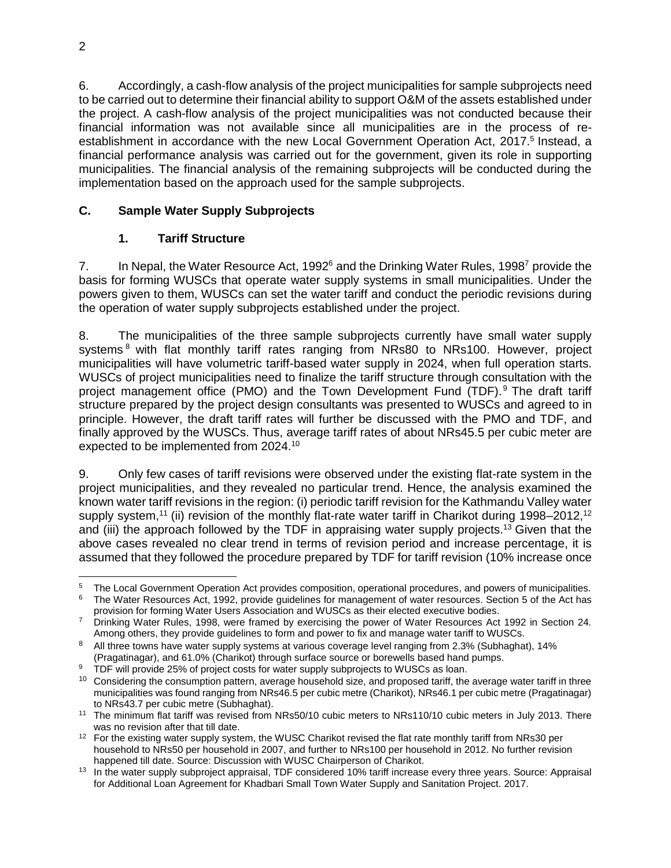6. Accordingly, a cash-flow analysis of the project municipalities for sample subprojects need to be carried out to determine their financial ability to support O&M of the assets established under the project. A cash-flow analysis of the project municipalities was not conducted because their financial information was not available since all municipalities are in the process of reestablishment in accordance with the new Local Government Operation Act, 2017.<sup>5</sup> Instead, a financial performance analysis was carried out for the government, given its role in supporting municipalities. The financial analysis of the remaining subprojects will be conducted during the implementation based on the approach used for the sample subprojects.

# **C. Sample Water Supply Subprojects**

# **1. Tariff Structure**

7. In Nepal, the Water Resource Act, 1992<sup>6</sup> and the Drinking Water Rules, 1998<sup>7</sup> provide the basis for forming WUSCs that operate water supply systems in small municipalities. Under the powers given to them, WUSCs can set the water tariff and conduct the periodic revisions during the operation of water supply subprojects established under the project.

8. The municipalities of the three sample subprojects currently have small water supply systems <sup>8</sup> with flat monthly tariff rates ranging from NRs80 to NRs100. However, project municipalities will have volumetric tariff-based water supply in 2024, when full operation starts. WUSCs of project municipalities need to finalize the tariff structure through consultation with the project management office (PMO) and the Town Development Fund (TDF).<sup>9</sup> The draft tariff structure prepared by the project design consultants was presented to WUSCs and agreed to in principle. However, the draft tariff rates will further be discussed with the PMO and TDF, and finally approved by the WUSCs. Thus, average tariff rates of about NRs45.5 per cubic meter are expected to be implemented from 2024.<sup>10</sup>

9. Only few cases of tariff revisions were observed under the existing flat-rate system in the project municipalities, and they revealed no particular trend. Hence, the analysis examined the known water tariff revisions in the region: (i) periodic tariff revision for the Kathmandu Valley water supply system,<sup>11</sup> (ii) revision of the monthly flat-rate water tariff in Charikot during 1998–2012,<sup>12</sup> and (iii) the approach followed by the TDF in appraising water supply projects.<sup>13</sup> Given that the above cases revealed no clear trend in terms of revision period and increase percentage, it is assumed that they followed the procedure prepared by TDF for tariff revision (10% increase once

 $\overline{a}$ <sup>5</sup> The Local Government Operation Act provides composition, operational procedures, and powers of municipalities.

<sup>&</sup>lt;sup>6</sup> The Water Resources Act, 1992, provide guidelines for management of water resources. Section 5 of the Act has provision for forming Water Users Association and WUSCs as their elected executive bodies.

<sup>&</sup>lt;sup>7</sup> Drinking Water Rules, 1998, were framed by exercising the power of Water Resources Act 1992 in Section 24. Among others, they provide guidelines to form and power to fix and manage water tariff to WUSCs.

<sup>&</sup>lt;sup>8</sup> All three towns have water supply systems at various coverage level ranging from 2.3% (Subhaghat), 14%

<sup>(</sup>Pragatinagar), and 61.0% (Charikot) through surface source or borewells based hand pumps.

<sup>&</sup>lt;sup>9</sup> TDF will provide 25% of project costs for water supply subprojects to WUSCs as loan.

<sup>&</sup>lt;sup>10</sup> Considering the consumption pattern, average household size, and proposed tariff, the average water tariff in three municipalities was found ranging from NRs46.5 per cubic metre (Charikot), NRs46.1 per cubic metre (Pragatinagar) to NRs43.7 per cubic metre (Subhaghat).

<sup>11</sup> The minimum flat tariff was revised from NRs50/10 cubic meters to NRs110/10 cubic meters in July 2013. There was no revision after that till date.

<sup>&</sup>lt;sup>12</sup> For the existing water supply system, the WUSC Charikot revised the flat rate monthly tariff from NRs30 per household to NRs50 per household in 2007, and further to NRs100 per household in 2012. No further revision happened till date. Source: Discussion with WUSC Chairperson of Charikot.

<sup>&</sup>lt;sup>13</sup> In the water supply subproject appraisal, TDF considered 10% tariff increase every three years. Source: Appraisal for Additional Loan Agreement for Khadbari Small Town Water Supply and Sanitation Project. 2017.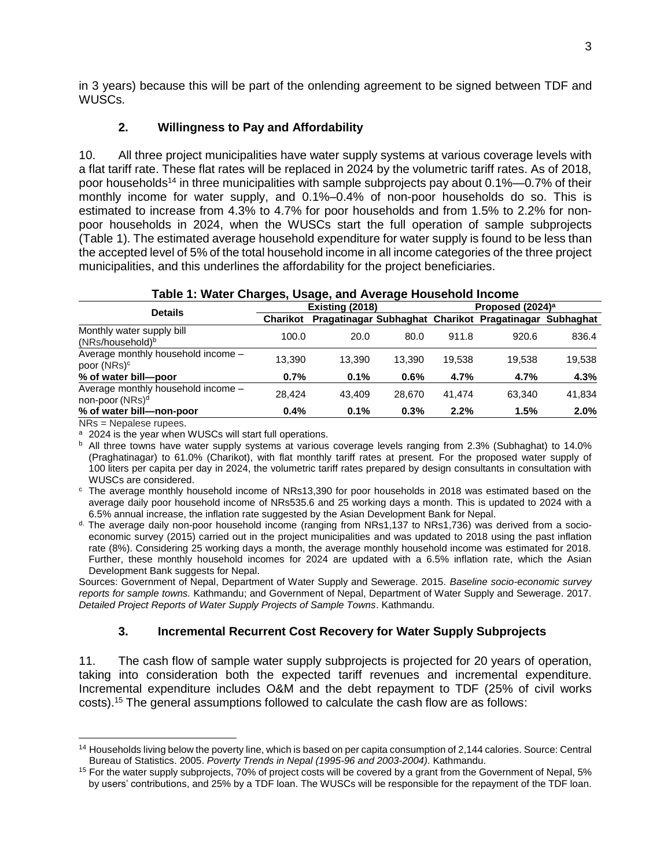in 3 years) because this will be part of the onlending agreement to be signed between TDF and WUSCs.

## **2. Willingness to Pay and Affordability**

10. All three project municipalities have water supply systems at various coverage levels with a flat tariff rate. These flat rates will be replaced in 2024 by the volumetric tariff rates. As of 2018, poor households<sup>14</sup> in three municipalities with sample subprojects pay about  $0.1\%$ —0.7% of their monthly income for water supply, and 0.1%–0.4% of non-poor households do so. This is estimated to increase from 4.3% to 4.7% for poor households and from 1.5% to 2.2% for nonpoor households in 2024, when the WUSCs start the full operation of sample subprojects (Table 1). The estimated average household expenditure for water supply is found to be less than the accepted level of 5% of the total household income in all income categories of the three project municipalities, and this underlines the affordability for the project beneficiaries.

|  |  |  | Table 1: Water Charges, Usage, and Average Household Income |  |
|--|--|--|-------------------------------------------------------------|--|
|--|--|--|-------------------------------------------------------------|--|

|                                                                   | Existing (2018) |        |        | Proposed (2024) <sup>a</sup> |                                                        |         |  |
|-------------------------------------------------------------------|-----------------|--------|--------|------------------------------|--------------------------------------------------------|---------|--|
| <b>Details</b>                                                    | <b>Charikot</b> |        |        |                              | Pragatinagar Subhaghat Charikot Pragatinagar Subhaghat |         |  |
| Monthly water supply bill<br>(NRs/household) <sup>b</sup>         | 100.0           | 20.0   | 80.0   | 911.8                        | 920.6                                                  | 836.4   |  |
| Average monthly household income -<br>poor (NRs) <sup>c</sup>     | 13.390          | 13.390 | 13.390 | 19.538                       | 19.538                                                 | 19,538  |  |
| % of water bill-poor                                              | 0.7%            | 0.1%   | 0.6%   | 4.7%                         | 4.7%                                                   | 4.3%    |  |
| Average monthly household income -<br>non-poor (NRs) <sup>d</sup> | 28.424          | 43.409 | 28.670 | 41.474                       | 63.340                                                 | 41.834  |  |
| % of water bill-non-poor                                          | $0.4\%$         | 0.1%   | 0.3%   | 2.2%                         | 1.5%                                                   | $2.0\%$ |  |

NRs = Nepalese rupees.

a 2024 is the year when WUSCs will start full operations.

<sup>b</sup> All three towns have water supply systems at various coverage levels ranging from 2.3% (Subhaghat) to 14.0% (Praghatinagar) to 61.0% (Charikot), with flat monthly tariff rates at present. For the proposed water supply of 100 liters per capita per day in 2024, the volumetric tariff rates prepared by design consultants in consultation with WUSCs are considered.

<sup>c</sup> The average monthly household income of NRs13,390 for poor households in 2018 was estimated based on the average daily poor household income of NRs535.6 and 25 working days a month. This is updated to 2024 with a 6.5% annual increase, the inflation rate suggested by the Asian Development Bank for Nepal.

d. The average daily non-poor household income (ranging from NRs1,137 to NRs1,736) was derived from a socioeconomic survey (2015) carried out in the project municipalities and was updated to 2018 using the past inflation rate (8%). Considering 25 working days a month, the average monthly household income was estimated for 2018. Further, these monthly household incomes for 2024 are updated with a 6.5% inflation rate, which the Asian Development Bank suggests for Nepal.

Sources: Government of Nepal, Department of Water Supply and Sewerage. 2015. *Baseline socio-economic survey reports for sample towns.* Kathmandu; and Government of Nepal, Department of Water Supply and Sewerage. 2017. *Detailed Project Reports of Water Supply Projects of Sample Towns*. Kathmandu.

### **3. Incremental Recurrent Cost Recovery for Water Supply Subprojects**

11. The cash flow of sample water supply subprojects is projected for 20 years of operation, taking into consideration both the expected tariff revenues and incremental expenditure. Incremental expenditure includes O&M and the debt repayment to TDF (25% of civil works costs). <sup>15</sup> The general assumptions followed to calculate the cash flow are as follows:

 $\overline{a}$ <sup>14</sup> Households living below the poverty line, which is based on per capita consumption of 2,144 calories. Source: Central Bureau of Statistics. 2005. *Poverty Trends in Nepal (1995-96 and 2003-2004)*. Kathmandu.

<sup>&</sup>lt;sup>15</sup> For the water supply subprojects, 70% of project costs will be covered by a grant from the Government of Nepal, 5% by users' contributions, and 25% by a TDF loan. The WUSCs will be responsible for the repayment of the TDF loan.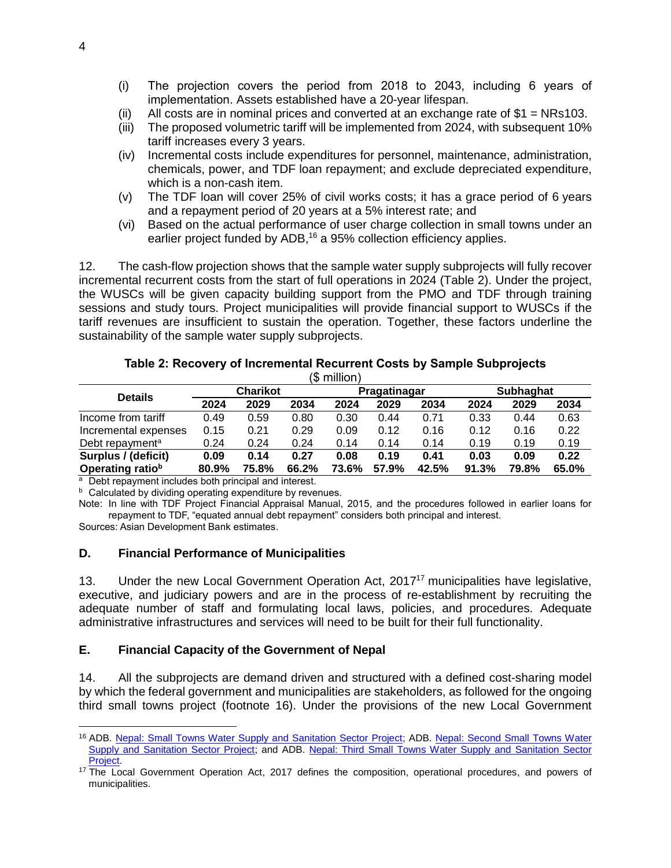- (i) The projection covers the period from 2018 to 2043, including 6 years of implementation. Assets established have a 20-year lifespan.
- (ii) All costs are in nominal prices and converted at an exchange rate of  $$1 = NRs103$ .
- (iii) The proposed volumetric tariff will be implemented from 2024, with subsequent 10% tariff increases every 3 years.
- (iv) Incremental costs include expenditures for personnel, maintenance, administration, chemicals, power, and TDF loan repayment; and exclude depreciated expenditure, which is a non-cash item.
- (v) The TDF loan will cover 25% of civil works costs; it has a grace period of 6 years and a repayment period of 20 years at a 5% interest rate; and
- (vi) Based on the actual performance of user charge collection in small towns under an earlier project funded by ADB,<sup>16</sup> a 95% collection efficiency applies.

12. The cash-flow projection shows that the sample water supply subprojects will fully recover incremental recurrent costs from the start of full operations in 2024 (Table 2). Under the project, the WUSCs will be given capacity building support from the PMO and TDF through training sessions and study tours. Project municipalities will provide financial support to WUSCs if the tariff revenues are insufficient to sustain the operation. Together, these factors underline the sustainability of the sample water supply subprojects.

#### **Table 2: Recovery of Incremental Recurrent Costs by Sample Subprojects**  $(6 \text{ million})$

| гэ шшогн                    |                 |       |       |              |       |       |           |       |       |
|-----------------------------|-----------------|-------|-------|--------------|-------|-------|-----------|-------|-------|
|                             | <b>Charikot</b> |       |       | Pragatinagar |       |       | Subhaghat |       |       |
| <b>Details</b>              | 2024            | 2029  | 2034  | 2024         | 2029  | 2034  | 2024      | 2029  | 2034  |
| Income from tariff          | 0.49            | 0.59  | 0.80  | 0.30         | 0.44  | 0.71  | 0.33      | 0.44  | 0.63  |
| Incremental expenses        | 0.15            | 0.21  | 0.29  | 0.09         | 0.12  | 0.16  | 0.12      | 0.16  | 0.22  |
| Debt repayment <sup>a</sup> | 0.24            | 0.24  | 0.24  | 0.14         | 0.14  | 0.14  | 0.19      | 0.19  | 0.19  |
| Surplus / (deficit)         | 0.09            | 0.14  | 0.27  | 0.08         | 0.19  | 0.41  | 0.03      | 0.09  | 0.22  |
| Operating ratiob            | 80.9%           | 75.8% | 66.2% | 73.6%        | 57.9% | 42.5% | 91.3%     | 79.8% | 65.0% |

<sup>a</sup> Debt repayment includes both principal and interest.

**b** Calculated by dividing operating expenditure by revenues.

Note: In line with TDF Project Financial Appraisal Manual, 2015, and the procedures followed in earlier loans for repayment to TDF, "equated annual debt repayment" considers both principal and interest.

Sources: Asian Development Bank estimates.

 $\overline{a}$ 

#### **D. Financial Performance of Municipalities**

13. Under the new Local Government Operation Act, 2017<sup>17</sup> municipalities have legislative, executive, and judiciary powers and are in the process of re-establishment by recruiting the adequate number of staff and formulating local laws, policies, and procedures. Adequate administrative infrastructures and services will need to be built for their full functionality.

#### **E. Financial Capacity of the Government of Nepal**

14. All the subprojects are demand driven and structured with a defined cost-sharing model by which the federal government and municipalities are stakeholders, as followed for the ongoing third small towns project (footnote 16). Under the provisions of the new Local Government

<sup>16</sup> ADB. [Nepal: Small Towns Water Supply and Sanitation Sector Project;](https://lnadbg1.adb.org/sec0032p.nsf/docbyno/cd726a9027c00eb848256af100085a09/$file/r165-00.pdf) ADB. [Nepal: Second Small Towns Water](https://www.adb.org/projects/41022-022/main)  [Supply and Sanitation Sector Project;](https://www.adb.org/projects/41022-022/main) and ADB. [Nepal: Third Small Towns Water Supply and Sanitation Sector](https://www.adb.org/projects/35173-013/main)  [Project.](https://www.adb.org/projects/35173-013/main)

<sup>&</sup>lt;sup>17</sup> The Local Government Operation Act, 2017 defines the composition, operational procedures, and powers of municipalities.